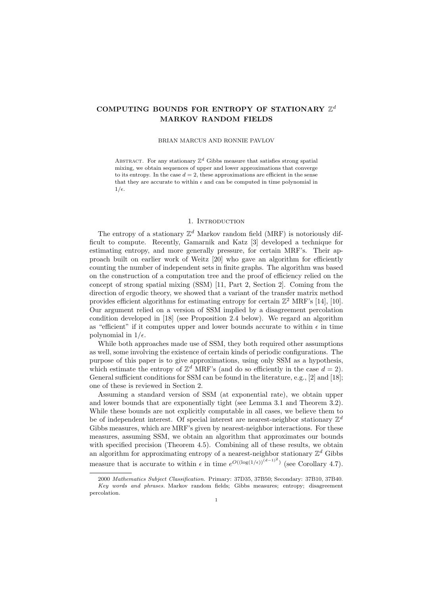# **COMPUTING BOUNDS FOR ENTROPY OF STATIONARY** Z *d* **MARKOV RANDOM FIELDS**

#### BRIAN MARCUS AND RONNIE PAVLOV

ABSTRACT. For any stationary  $\mathbb{Z}^d$  Gibbs measure that satisfies strong spatial mixing, we obtain sequences of upper and lower approximations that converge to its entropy. In the case  $d = 2$ , these approximations are efficient in the sense that they are accurate to within  $\epsilon$  and can be computed in time polynomial in  $1/\epsilon$ .

## 1. INTRODUCTION

The entropy of a stationary  $\mathbb{Z}^d$  Markov random field (MRF) is notoriously difficult to compute. Recently, Gamarnik and Katz [3] developed a technique for estimating entropy, and more generally pressure, for certain MRF's. Their approach built on earlier work of Weitz [20] who gave an algorithm for efficiently counting the number of independent sets in finite graphs. The algorithm was based on the construction of a computation tree and the proof of efficiency relied on the concept of strong spatial mixing (SSM) [11, Part 2, Section 2]. Coming from the direction of ergodic theory, we showed that a variant of the transfer matrix method provides efficient algorithms for estimating entropy for certain  $\mathbb{Z}^2$  MRF's [14], [10]. Our argument relied on a version of SSM implied by a disagreement percolation condition developed in [18] (see Proposition 2.4 below). We regard an algorithm as "efficient" if it computes upper and lower bounds accurate to within  $\epsilon$  in time polynomial in  $1/\epsilon$ .

While both approaches made use of SSM, they both required other assumptions as well, some involving the existence of certain kinds of periodic configurations. The purpose of this paper is to give approximations, using only SSM as a hypothesis, which estimate the entropy of  $\mathbb{Z}^d$  MRF's (and do so efficiently in the case  $d = 2$ ). General sufficient conditions for SSM can be found in the literature, e.g., [2] and [18]; one of these is reviewed in Section 2.

Assuming a standard version of SSM (at exponential rate), we obtain upper and lower bounds that are exponentially tight (see Lemma 3.1 and Theorem 3.2). While these bounds are not explicitly computable in all cases, we believe them to be of independent interest. Of special interest are nearest-neighbor stationary  $\mathbb{Z}^d$ Gibbs measures, which are MRF's given by nearest-neighbor interactions. For these measures, assuming SSM, we obtain an algorithm that approximates our bounds with specified precision (Theorem 4.5). Combining all of these results, we obtain an algorithm for approximating entropy of a nearest-neighbor stationary  $\mathbb{Z}^d$  Gibbs measure that is accurate to within  $\epsilon$  in time  $e^{O((\log(1/\epsilon))^{(d-1)^2})}$  (see Corollary 4.7).

<sup>2000</sup> *Mathematics Subject Classification.* Primary: 37D35, 37B50; Secondary: 37B10, 37B40. *Key words and phrases.* Markov random fields; Gibbs measures; entropy; disagreement percolation.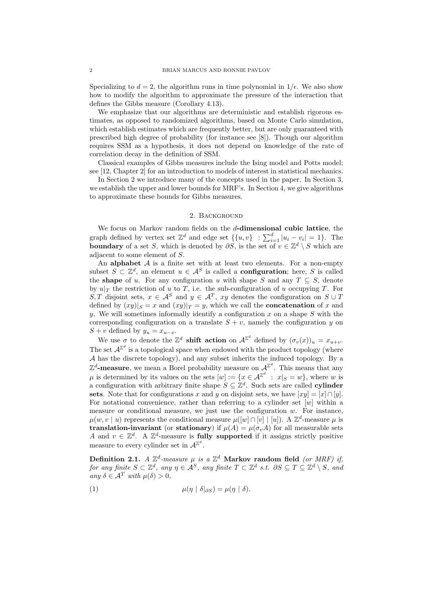Specializing to  $d = 2$ , the algorithm runs in time polynomial in  $1/\epsilon$ . We also show how to modify the algorithm to approximate the pressure of the interaction that defines the Gibbs measure (Corollary 4.13).

We emphasize that our algorithms are deterministic and establish rigorous estimates, as opposed to randomized algorithms, based on Monte Carlo simulation, which establish estimates which are frequently better, but are only guaranteed with prescribed high degree of probability (for instance see [8]). Though our algorithm requires SSM as a hypothesis, it does not depend on knowledge of the rate of correlation decay in the definition of SSM.

Classical examples of Gibbs measures include the Ising model and Potts model; see [12, Chapter 2] for an introduction to models of interest in statistical mechanics.

In Section 2 we introduce many of the concepts used in the paper. In Section 3, we establish the upper and lower bounds for MRF's. In Section 4, we give algorithms to approximate these bounds for Gibbs measures.

### 2. Background

We focus on Markov random fields on the *d***-dimensional cubic lattice**, the graph defined by vertex set  $\mathbb{Z}^d$  and edge set  $\{\{u, v\} : \sum_{i=1}^d |u_i - v_i| = 1\}$ . The **boundary** of a set *S*, which is denoted by  $\partial S$ , is the set of  $v \in \mathbb{Z}^d \setminus S$  which are adjacent to some element of *S*.

An **alphabet** *A* is a finite set with at least two elements. For a non-empty subset  $S \subset \mathbb{Z}^d$ , an element  $u \in A^S$  is called a **configuration**; here, *S* is called the **shape** of *u*. For any configuration *u* with shape *S* and any  $T \subseteq S$ , denote by  $u|_T$  the restriction of *u* to *T*, i.e. the sub-configuration of *u* occupying *T*. For *S, T* disjoint sets,  $x \in A^S$  and  $y \in A^T$ ,  $xy$  denotes the configuration on  $S \cup T$ defined by  $(xy)|_S = x$  and  $(xy)|_T = y$ , which we call the **concatenation** of *x* and *y*. We will sometimes informally identify a configuration *x* on a shape *S* with the corresponding configuration on a translate  $S + v$ , namely the configuration *y* on  $S + v$  defined by  $y_u = x_{u-v}$ .

We use  $\sigma$  to denote the  $\mathbb{Z}^d$  **shift action** on  $\mathcal{A}^{\mathbb{Z}^d}$  defined by  $(\sigma_v(x))_u = x_{u+v}$ . The set  $A^{\mathbb{Z}^d}$  is a topological space when endowed with the product topology (where *A* has the discrete topology), and any subset inherits the induced topology. By a  $\mathbb{Z}^d$ -measure, we mean a Borel probability measure on  $\mathcal{A}^{\mathbb{Z}^d}$ . This means that any  $\mu$  is determined by its values on the sets  $[w] := \{x \in \mathcal{A}^{\mathbb{Z}^d} : x|_S = w\}$ , where *w* is a configuration with arbitrary finite shape  $S \subseteq \mathbb{Z}^d$ . Such sets are called **cylinder** sets. Note that for configurations *x* and *y* on disjoint sets, we have  $[xy] = [x] \cap [y]$ . For notational convenience, rather than referring to a cylinder set [*w*] within a measure or conditional measure, we just use the configuration *w*. For instance,  $\mu(w, v \mid u)$  represents the conditional measure  $\mu([w] \cap [v] \mid [u])$ . A  $\mathbb{Z}^d$ -measure  $\mu$  is **translation-invariant** (or **stationary**) if  $\mu(A) = \mu(\sigma_v A)$  for all measurable sets *A* and  $v \in \mathbb{Z}^d$ . A  $\mathbb{Z}^d$ -measure is **fully supported** if it assigns strictly positive measure to every cylinder set in  $A^{\mathbb{Z}^d}$ .

Definition 2.1. *A*  $\mathbb{Z}^d$ -measure  $\mu$  is a  $\mathbb{Z}^d$  Markov random field *(or MRF)* if, for any finite  $S \subset \mathbb{Z}^d$ , any  $\eta \in \mathcal{A}^S$ , any finite  $T \subset \mathbb{Z}^d$  s.t.  $\partial S \subseteq T \subseteq \mathbb{Z}^d \setminus S$ , and  $a_n u \delta \in \mathcal{A}^T$  *with*  $\mu(\delta) > 0$ ,

(1) 
$$
\mu(\eta \mid \delta|_{\partial S}) = \mu(\eta \mid \delta).
$$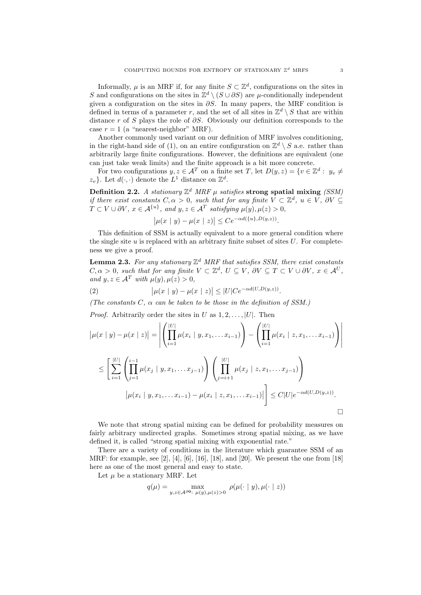Informally,  $\mu$  is an MRF if, for any finite  $S \subset \mathbb{Z}^d$ , configurations on the sites in *S* and configurations on the sites in  $\mathbb{Z}^d \setminus (S \cup \partial S)$  are  $\mu$ -conditionally independent given a configuration on the sites in *∂S*. In many papers, the MRF condition is defined in terms of a parameter *r*, and the set of all sites in  $\mathbb{Z}^d \setminus S$  that are within distance *r* of *S* plays the role of *∂S*. Obviously our definition corresponds to the case  $r = 1$  (a "nearest-neighbor" MRF).

Another commonly used variant on our definition of MRF involves conditioning, in the right-hand side of (1), on an entire configuration on  $\mathbb{Z}^d \setminus S$  a.e. rather than arbitrarily large finite configurations. However, the definitions are equivalent (one can just take weak limits) and the finite approach is a bit more concrete.

For two configurations  $y, z \in \mathcal{A}^T$  on a finite set *T*, let  $D(y, z) = \{v \in \mathbb{Z}^d : y_v \neq 0\}$  $z_v$ }. Let  $d(\cdot, \cdot)$  denote the  $L^1$  distance on  $\mathbb{Z}^d$ .

Definition 2.2. A stationary  $\mathbb{Z}^d$  MRF  $\mu$  satisfies strong spatial mixing *(SSM) if there exist constants*  $C, \alpha > 0$ *, such that for any finite*  $V \subset \mathbb{Z}^d$ *,*  $u \in V$ *,*  $\partial V \subseteq$  $T \subset V \cup \partial V$ ,  $x \in A^{\{u\}}$ , and  $y, z \in A^T$  satisfying  $\mu(y), \mu(z) > 0$ ,

$$
\left|\mu(x \mid y) - \mu(x \mid z)\right| \le Ce^{-\alpha d(\{u\}, D(y, z))}
$$

*.*

This definition of SSM is actually equivalent to a more general condition where the single site  $u$  is replaced with an arbitrary finite subset of sites  $U$ . For completeness we give a proof.

**Lemma 2.3.** *For any stationary* Z *<sup>d</sup> MRF that satisfies SSM, there exist constants*  $C, \alpha > 0$ , such that for any finite  $V \subset \mathbb{Z}^d$ ,  $U \subseteq V$ ,  $\partial V \subseteq T \subset V \cup \partial V$ ,  $x \in \mathcal{A}^U$ , *and*  $y, z \in A^T$  *with*  $\mu(y), \mu(z) > 0$ ,

(2) 
$$
\left| \mu(x \mid y) - \mu(x \mid z) \right| \leq |U| C e^{-\alpha d(U, D(y, z))}.
$$

*(The constants C, α can be taken to be those in the definition of SSM.)*

*Proof.* Arbitrarily order the sites in *U* as  $1, 2, \ldots, |U|$ . Then

$$
|\mu(x | y) - \mu(x | z)| = \left| \left( \prod_{i=1}^{|U|} \mu(x_i | y, x_1, \dots x_{i-1}) \right) - \left( \prod_{i=1}^{|U|} \mu(x_i | z, x_1, \dots x_{i-1}) \right) \right|
$$
  

$$
\leq \left[ \sum_{i=1}^{|U|} \left( \prod_{j=1}^{i-1} \mu(x_j | y, x_1, \dots x_{j-1}) \right) \left( \prod_{j=i+1}^{|U|} \mu(x_j | z, x_1, \dots x_{j-1}) \right) \right]
$$
  

$$
|\mu(x_i | y, x_1, \dots x_{i-1}) - \mu(x_i | z, x_1, \dots x_{i-1})| \right] \leq C|U|e^{-\alpha d(U, D(y, z))}.
$$

We note that strong spatial mixing can be defined for probability measures on fairly arbitrary undirected graphs. Sometimes strong spatial mixing, as we have defined it, is called "strong spatial mixing with exponential rate."

There are a variety of conditions in the literature which guarantee SSM of an MRF: for example, see [2], [4], [6], [16], [18], and [20]. We present the one from [18] here as one of the most general and easy to state.

Let  $\mu$  be a stationary MRF. Let

$$
q(\mu) = \max_{y,z \in \mathcal{A}^{\partial 0}: \mu(y), \mu(z) > 0} \rho(\mu(\cdot \mid y), \mu(\cdot \mid z))
$$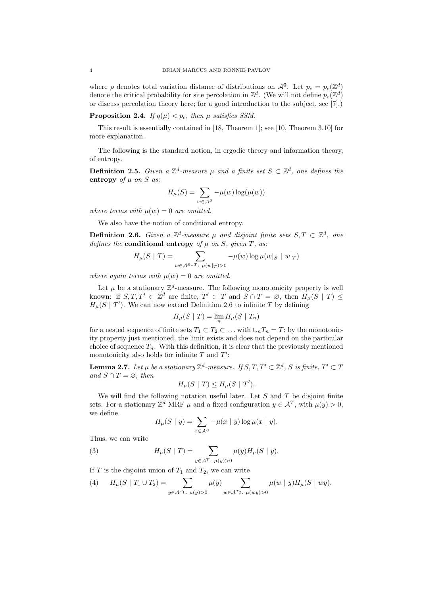where  $\rho$  denotes total variation distance of distributions on  $\mathcal{A}^0$ . Let  $p_c = p_c(\mathbb{Z}^d)$ denote the critical probability for site percolation in  $\mathbb{Z}^d$ . (We will not define  $p_c(\mathbb{Z}^d)$ or discuss percolation theory here; for a good introduction to the subject, see [7].)

**Proposition 2.4.** *If*  $q(\mu) < p_c$ *, then*  $\mu$  *satisfies SSM.* 

This result is essentially contained in [18, Theorem 1]; see [10, Theorem 3.10] for more explanation.

The following is the standard notion, in ergodic theory and information theory, of entropy.

**Definition 2.5.** *Given a*  $\mathbb{Z}^d$ -measure  $\mu$  and a finite set  $S \subset \mathbb{Z}^d$ , one defines the **entropy** of  $\mu$  on  $S$  as:

$$
H_{\mu}(S) = \sum_{w \in A^S} -\mu(w) \log(\mu(w))
$$

*where terms with*  $\mu(w) = 0$  *are omitted.* 

We also have the notion of conditional entropy.

**Definition 2.6.** *Given* a  $\mathbb{Z}^d$ -measure  $\mu$  and disjoint finite sets  $S, T \subset \mathbb{Z}^d$ , one *defines the* **conditional entropy** of  $\mu$  on  $S$ *, given*  $T$ *, as:* 

$$
H_{\mu}(S \mid T) = \sum_{w \in A^{S \cup T} : \mu(w|_{T}) > 0} -\mu(w) \log \mu(w|_{S} \mid w|_{T})
$$

*where again terms with*  $\mu(w) = 0$  *are omitted.* 

Let  $\mu$  be a stationary  $\mathbb{Z}^d$ -measure. The following monotonicity property is well known: if  $S, T, T' \subset \mathbb{Z}^d$  are finite,  $T' \subset T$  and  $S \cap T = \emptyset$ , then  $H_\mu(S | T) \le$  $H_\mu(S \mid T')$ . We can now extend Definition 2.6 to infinite *T* by defining

$$
H_{\mu}(S \mid T) = \lim_{n} H_{\mu}(S \mid T_n)
$$

for a nested sequence of finite sets  $T_1 \subset T_2 \subset \ldots$  with  $\cup_n T_n = T$ ; by the monotonicity property just mentioned, the limit exists and does not depend on the particular choice of sequence  $T_n$ . With this definition, it is clear that the previously mentioned monotonicity also holds for infinite *T* and *T ′* :

 ${\bf Lemma\ 2.7.}$  *Let*  $\mu$  *be a stationary*  $\mathbb{Z}^d$ -measure. If  $S,T,T'\subset \mathbb{Z}^d$  ,  $S$  *is finite,*  $T'\subset T$ *and*  $S \cap T = ∅$ *, then* 

$$
H_{\mu}(S \mid T) \le H_{\mu}(S \mid T').
$$

We will find the following notation useful later. Let *S* and *T* be disjoint finite sets. For a stationary  $\mathbb{Z}^d$  MRF  $\mu$  and a fixed configuration  $y \in \mathcal{A}^T$ , with  $\mu(y) > 0$ , we define

$$
H_{\mu}(S \mid y) = \sum_{x \in \mathcal{A}^S} -\mu(x \mid y) \log \mu(x \mid y).
$$

Thus, we can write

(3) 
$$
H_{\mu}(S | T) = \sum_{y \in A^{T}, \mu(y) > 0} \mu(y) H_{\mu}(S | y).
$$

If *T* is the disjoint union of  $T_1$  and  $T_2$ , we can write

(4) 
$$
H_{\mu}(S | T_1 \cup T_2) = \sum_{y \in A^{T_1} : \ \mu(y) > 0} \mu(y) \sum_{w \in A^{T_2} : \ \mu(wy) > 0} \mu(w | y) H_{\mu}(S | w y).
$$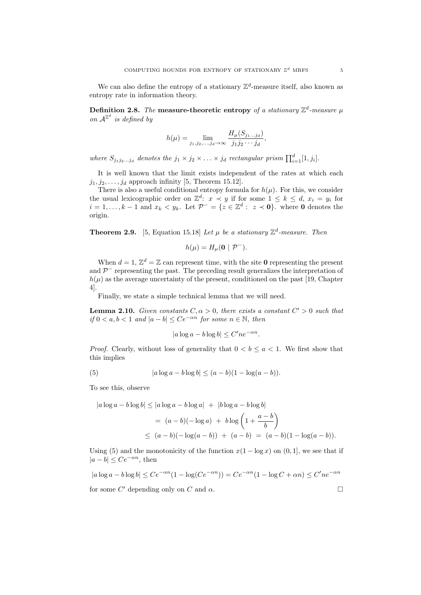We can also define the entropy of a stationary  $\mathbb{Z}^d$ -measure itself, also known as entropy rate in information theory.

**Definition 2.8.** The **measure-theoretic entropy** of a stationary  $\mathbb{Z}^d$ -measure  $\mu$ *on*  $A^{\mathbb{Z}^d}$  *is defined by* 

$$
h(\mu) = \lim_{j_1, j_2, \dots, j_d \to \infty} \frac{H_\mu(S_{j_1 \dots j_d})}{j_1 j_2 \cdots j_d},
$$

where  $S_{j_1j_2...j_d}$  denotes the  $j_1 \times j_2 \times ... \times j_d$  rectangular prism  $\prod_{i=1}^d [1, j_i]$ .

It is well known that the limit exists independent of the rates at which each  $j_1, j_2, \ldots, j_d$  approach infinity [5, Theorem 15.12].

There is also a useful conditional entropy formula for  $h(\mu)$ . For this, we consider the usual lexicographic order on  $\mathbb{Z}^d$ :  $x \prec y$  if for some  $1 \leq k \leq d$ ,  $x_i = y_i$  for *i* = 1, ..., *k* − 1 and  $x_k < y_k$ . Let  $\mathcal{P}^-$  = { $z \in \mathbb{Z}^d$  :  $z \prec \mathbf{0}$ }. where 0 denotes the origin

**Theorem 2.9.** [5, Equation 15.18] *Let*  $\mu$  *be a stationary*  $\mathbb{Z}^d$ -measure. Then

$$
h(\mu) = H_{\mu}(\mathbf{0} \mid \mathcal{P}^{-}).
$$

When  $d = 1, \mathbb{Z}^d = \mathbb{Z}$  can represent time, with the site **0** representing the present and  $\mathcal{P}^-$  representing the past. The preceding result generalizes the interpretation of  $h(\mu)$  as the average uncertainty of the present, conditioned on the past [19, Chapter 4].

Finally, we state a simple technical lemma that we will need.

**Lemma 2.10.** *Given constants*  $C, \alpha > 0$ *, there exists a constant*  $C' > 0$  *such that if* 0 < *a*, *b* < 1 *and*  $|a - b|$  ≤  $Ce^{-\alpha n}$  *for some*  $n \in \mathbb{N}$ *, then* 

$$
|a\log a - b\log b| \le C' n e^{-\alpha n}.
$$

*Proof.* Clearly, without loss of generality that  $0 < b \le a < 1$ . We first show that this implies

(5) 
$$
|a \log a - b \log b| \le (a - b)(1 - \log(a - b)).
$$

To see this, observe

$$
|a \log a - b \log b| \le |a \log a - b \log a| + |b \log a - b \log b|
$$
  
=  $(a - b)(-\log a) + b \log \left(1 + \frac{a - b}{b}\right)$   
 $\le (a - b)(-\log(a - b)) + (a - b) = (a - b)(1 - \log(a - b)).$ 

Using (5) and the monotonicity of the function  $x(1 - \log x)$  on  $(0, 1]$ , we see that if  $|a - b|$  <  $Ce^{-\alpha n}$ , then

$$
|a \log a - b \log b| \le Ce^{-\alpha n} (1 - \log(Ce^{-\alpha n})) = Ce^{-\alpha n} (1 - \log C + \alpha n) \le C' n e^{-\alpha n}
$$
  
for some C' depending only on C and  $\alpha$ .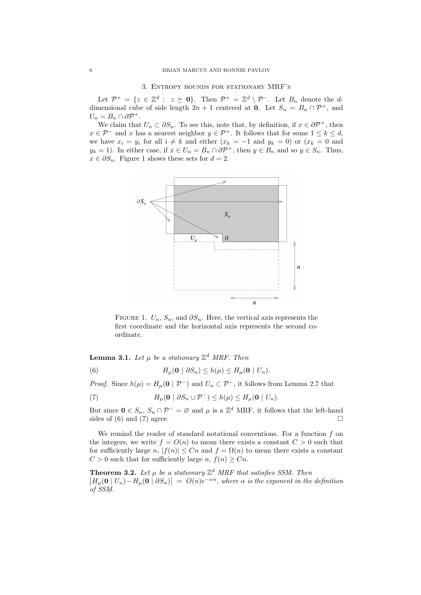Let  $\mathcal{P}^+ = \{z \in \mathbb{Z}^d : z \succeq \mathbf{0}\}\$ . Then  $\mathcal{P}^+ = \mathbb{Z}^d \setminus \mathcal{P}^-$ . Let  $B_n$  denote the *d*dimensional cube of side length  $2n + 1$  centered at **0**. Let  $S_n = B_n \cap \mathcal{P}^+$ , and  $U_n = B_n \cap \partial \mathcal{P}^+$ .

We claim that  $U_n \subset \partial S_n$ . To see this, note that, by definition, if  $x \in \partial P^+$ , then *x* ∈  $P^-$  and *x* has a nearest neighbor  $y \in P^+$ . It follows that for some  $1 \leq k \leq d$ , we have  $x_i = y_i$  for all  $i \neq k$  and either  $(x_k = -1$  and  $y_k = 0$ ) or  $(x_k = 0$  and  $y_k = 1$ ). In either case, if  $x \in U_n = B_n \cap \partial P^+$ , then  $y \in B_n$  and so  $y \in S_n$ . Thus,  $x \in \partial S_n$ . Figure 1 shows these sets for  $d = 2$ .



FIGURE 1.  $U_n$ ,  $S_n$ , and  $\partial S_n$ . Here, the vertical axis represents the first coordinate and the horizontal axis represents the second coordinate.

**Lemma 3.1.** *Let*  $\mu$  *be a stationary*  $\mathbb{Z}^d$  *MRF. Then* 

(6)  $H_\mu(\mathbf{0} \mid \partial S_n) \leq h(\mu) \leq H_\mu(\mathbf{0} \mid U_n).$ 

*Proof.* Since  $h(\mu) = H_{\mu}(\mathbf{0} | \mathcal{P}^{-})$  and  $U_{n} \subset \mathcal{P}^{-}$ , it follows from Lemma 2.7 that

(7)  $H_\mu(\mathbf{0} \mid \partial S_n \cup \mathcal{P}^-) \leq h(\mu) \leq H_\mu(\mathbf{0} \mid U_n).$ 

But since  $0 \in S_n$ ,  $S_n \cap \mathcal{P}^- = \emptyset$  and  $\mu$  is a  $\mathbb{Z}^d$  MRF, it follows that the left-hand sides of (6) and (7) agree.

We remind the reader of standard notational conventions. For a function *f* on the integers, we write  $f = O(n)$  to mean there exists a constant  $C > 0$  such that for sufficiently large *n*,  $|f(n)| \leq Cn$  and  $f = \Omega(n)$  to mean there exists a constant  $C > 0$  such that for sufficiently large *n*,  $f(n) \geq Cn$ .

**Theorem 3.2.** Let  $\mu$  be a stationary  $\mathbb{Z}^d$  MRF that satisfies SSM. Then  $\left|H_{\mu}(\mathbf{0} \mid U_n) - H_{\mu}(\mathbf{0} \mid \partial S_n)\right| = O(n)e^{-\alpha n}$ , where  $\alpha$  is the exponent in the definition *of SSM.*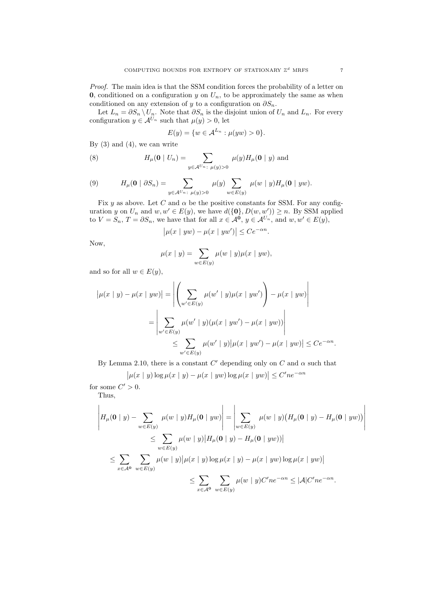*Proof.* The main idea is that the SSM condition forces the probability of a letter on **0**, conditioned on a configuration  $y$  on  $U_n$ , to be approximately the same as when conditioned on any extension of *y* to a configuration on  $\partial S_n$ .

Let  $L_n = \partial S_n \setminus U_n$ . Note that  $\partial S_n$  is the disjoint union of  $U_n$  and  $L_n$ . For every configuration  $y \in A^{U_n}$  such that  $\mu(y) > 0$ , let

$$
E(y) = \{ w \in \mathcal{A}^{L_n} : \mu(yw) > 0 \}.
$$

By  $(3)$  and  $(4)$ , we can write

(8) 
$$
H_{\mu}(\mathbf{0} \mid U_n) = \sum_{y \in \mathcal{A}^{U_n}: \ \mu(y) > 0} \mu(y) H_{\mu}(\mathbf{0} \mid y) \text{ and}
$$

(9) 
$$
H_{\mu}(\mathbf{0} \mid \partial S_n) = \sum_{y \in A^{U_n}: \ \mu(y) > 0} \mu(y) \sum_{w \in E(y)} \mu(w \mid y) H_{\mu}(\mathbf{0} \mid yw).
$$

Fix  $y$  as above. Let  $C$  and  $\alpha$  be the positive constants for SSM. For any configuration *y* on  $U_n$  and  $w, w' \in E(y)$ , we have  $d({\bf{0}}, D(w, w')) \ge n$ . By SSM applied to  $V = S_n$ ,  $T = \partial S_n$ , we have that for all  $x \in \mathcal{A}^0$ ,  $y \in \mathcal{A}^{U_n}$ , and  $w, w' \in E(y)$ ,

$$
\big|\mu(x \mid yw) - \mu(x \mid yw')\big| \le Ce^{-\alpha n}
$$

*.*

Now,

$$
\mu(x \mid y) = \sum_{w \in E(y)} \mu(w \mid y) \mu(x \mid yw),
$$

and so for all  $w \in E(y)$ ,

$$
|\mu(x \mid y) - \mu(x \mid yw)| = \left| \left( \sum_{w' \in E(y)} \mu(w' \mid y) \mu(x \mid yw') \right) - \mu(x \mid yw) \right|
$$
  
= 
$$
\left| \sum_{w' \in E(y)} \mu(w' \mid y) (\mu(x \mid yw') - \mu(x \mid yw)) \right|
$$
  

$$
\leq \sum_{w' \in E(y)} \mu(w' \mid y) |\mu(x \mid yw') - \mu(x \mid yw)| \leq Ce^{-\alpha n}.
$$

By Lemma 2.10, there is a constant  $C'$  depending only on  $C$  and  $\alpha$  such that

$$
\left|\mu(x \mid y)\log \mu(x \mid y) - \mu(x \mid yw)\log \mu(x \mid yw)\right| \leq C' n e^{-\alpha n}
$$

for some  $C' > 0$ .

Thus,

$$
\left| H_{\mu}(\mathbf{0} \mid y) - \sum_{w \in E(y)} \mu(w \mid y) H_{\mu}(\mathbf{0} \mid yw) \right| = \left| \sum_{w \in E(y)} \mu(w \mid y) (H_{\mu}(\mathbf{0} \mid y) - H_{\mu}(\mathbf{0} \mid yw)) \right|
$$
  
\n
$$
\leq \sum_{w \in E(y)} \mu(w \mid y) |H_{\mu}(\mathbf{0} \mid y) - H_{\mu}(\mathbf{0} \mid yw))|
$$
  
\n
$$
\leq \sum_{x \in A^0} \sum_{w \in E(y)} \mu(w \mid y) |\mu(x \mid y) \log \mu(x \mid y) - \mu(x \mid yw) \log \mu(x \mid yw)|
$$
  
\n
$$
\leq \sum_{x \in A^0} \sum_{w \in E(y)} \mu(w \mid y) C' n e^{-\alpha n} \leq |A| C' n e^{-\alpha n}.
$$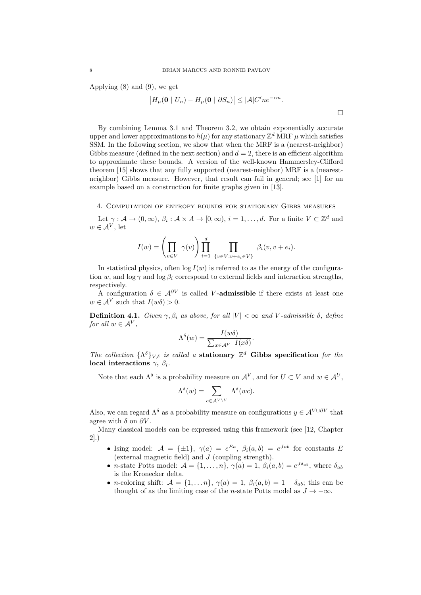Applying (8) and (9), we get

$$
\left|H_{\mu}(\mathbf{0} \mid U_n) - H_{\mu}(\mathbf{0} \mid \partial S_n)\right| \leq |\mathcal{A}| C' n e^{-\alpha n}.
$$

By combining Lemma 3.1 and Theorem 3.2, we obtain exponentially accurate upper and lower approximations to  $h(\mu)$  for any stationary  $\mathbb{Z}^d$  MRF  $\mu$  which satisfies SSM. In the following section, we show that when the MRF is a (nearest-neighbor) Gibbs measure (defined in the next section) and  $d = 2$ , there is an efficient algorithm to approximate these bounds. A version of the well-known Hammersley-Clifford theorem [15] shows that any fully supported (nearest-neighbor) MRF is a (nearestneighbor) Gibbs measure. However, that result can fail in general; see [1] for an example based on a construction for finite graphs given in [13].

4. Computation of entropy bounds for stationary Gibbs measures

Let  $\gamma : \mathcal{A} \to (0, \infty), \beta_i : \mathcal{A} \times \mathcal{A} \to [0, \infty), i = 1, \dots, d$ . For a finite  $V \subset \mathbb{Z}^d$  and  $w \in A^V$ , let

$$
I(w) = \left(\prod_{v \in V} \gamma(v)\right) \prod_{i=1}^d \prod_{\{v \in V : v + e_i \in V\}} \beta_i(v, v + e_i).
$$

In statistical physics, often  $log I(w)$  is referred to as the energy of the configuration *w*, and  $\log \gamma$  and  $\log \beta_i$  correspond to external fields and interaction strengths, respectively.

A configuration  $\delta \in \mathcal{A}^{\partial V}$  is called *V*-admissible if there exists at least one  $w \in A^V$  such that  $I(w\delta) > 0$ .

**Definition 4.1.** *Given*  $\gamma$ ,  $\beta_i$  *as above, for all*  $|V| < \infty$  *and V*-*admissible*  $\delta$ *, define for all*  $w \in A^V$ ,

$$
\Lambda^{\delta}(w) = \frac{I(w\delta)}{\sum_{x \in \mathcal{A}^V} I(x\delta)}.
$$

*The collection*  $\{\Lambda^{\delta}\}_{V,\delta}$  *is called a* **stationary**  $\mathbb{Z}^d$  Gibbs specification for the **local interactions** *γ***,** *βi.*

Note that each  $\Lambda^{\delta}$  is a probability measure on  $\mathcal{A}^{V}$ , and for  $U \subset V$  and  $w \in \mathcal{A}^{U}$ ,

$$
\Lambda^{\delta}(w) = \sum_{c \in \mathcal{A}^{V \setminus U}} \Lambda^{\delta}(wc).
$$

Also, we can regard  $\Lambda^{\delta}$  as a probability measure on configurations  $y \in A^{V \cup \partial V}$  that agree with  $\delta$  on  $\partial V$ .

Many classical models can be expressed using this framework (see [12, Chapter 2].)

- Ising model:  $A = {\pm 1}$ ,  $\gamma(a) = e^{Ea}$ ,  $\beta_i(a, b) = e^{Jab}$  for constants *E* (external magnetic field) and *J* (coupling strength).
- *n*-state Potts model:  $\mathcal{A} = \{1, \ldots, n\}$ ,  $\gamma(a) = 1$ ,  $\beta_i(a, b) = e^{J\delta_{ab}}$ , where  $\delta_{ab}$ is the Kronecker delta.
- *n*-coloring shift:  $A = \{1, \ldots n\}$ ,  $\gamma(a) = 1$ ,  $\beta_i(a, b) = 1 \delta_{ab}$ ; this can be thought of as the limiting case of the *n*-state Potts model as  $J \to -\infty$ .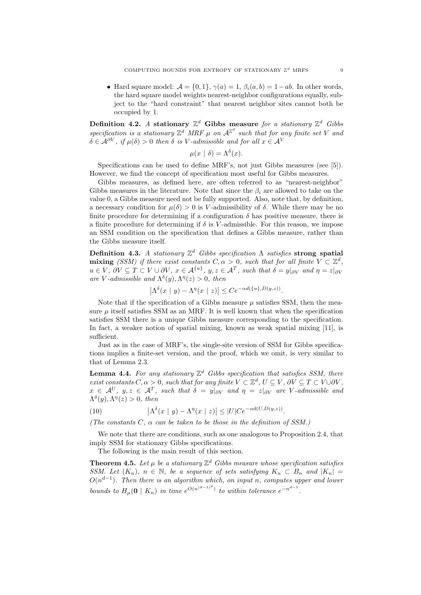• Hard square model:  $A = \{0, 1\}$ ,  $\gamma(a) = 1$ ,  $\beta_i(a, b) = 1 - ab$ . In other words, the hard square model weights nearest-neighbor configurations equally, subject to the "hard constraint" that nearest neighbor sites cannot both be occupied by 1.

Definition 4.2. *A* stationary  $\mathbb{Z}^d$  Gibbs measure for a stationary  $\mathbb{Z}^d$  Gibbs specification is a stationary  $\mathbb{Z}^d$  MRF  $\mu$  on  $\mathcal{A}^{\mathbb{Z}^d}$  such that for any finite set V and  $\delta \in \mathcal{A}^{\partial V}$ , if  $\mu(\delta) > 0$  then  $\delta$  is *V*-admissible and for all  $x \in \mathcal{A}^V$ 

$$
\mu(x \mid \delta) = \Lambda^{\delta}(x).
$$

Specifications can be used to define MRF's, not just Gibbs measures (see [5]). However, we find the concept of specification most useful for Gibbs measures.

Gibbs measures, as defined here, are often referred to as "nearest-neighbor" Gibbs measures in the literature. Note that since the  $\beta_i$  are allowed to take on the value 0, a Gibbs measure need not be fully supported. Also, note that, by definition, a necessary condition for  $\mu(\delta) > 0$  is V-admissibility of  $\delta$ . While there may be no finite procedure for determining if a configuration  $\delta$  has positive measure, there is a finite procedure for determining if  $\delta$  is *V*-admissible. For this reason, we impose an SSM condition on the specification that defines a Gibbs measure, rather than the Gibbs measure itself.

**Definition 4.3.** *A stationary* Z *<sup>d</sup> Gibbs specification* Λ *satisfies* **strong spatial mixing** *(SSM)* if there exist constants  $C, \alpha > 0$ , such that for all finite  $V \subset \mathbb{Z}^d$ ,  $u \in V$ ,  $\partial V \subseteq T \subset V \cup \partial V$ ,  $x \in A^{\{u\}}$ ,  $y, z \in A^T$ , such that  $\delta = y|_{\partial V}$  and  $\eta = z|_{\partial V}$ *are V*-*admissible and*  $\Lambda^{\delta}(y), \Lambda^{\eta}(z) > 0$ *, then* 

$$
\left|\Lambda^{\delta}(x \mid y) - \Lambda^{\eta}(x \mid z)\right| \leq Ce^{-\alpha d(\{u\}, D(y, z))}.
$$

Note that if the specification of a Gibbs measure  $\mu$  satisfies SSM, then the measure  $\mu$  itself satisfies SSM as an MRF. It is well known that when the specification satisfies SSM there is a unique Gibbs measure corresponding to the specification. In fact, a weaker notion of spatial mixing, known as weak spatial mixing [11], is sufficient.

Just as in the case of MRF's, the single-site version of SSM for Gibbs specifications implies a finite-set version, and the proof, which we omit, is very similar to that of Lemma 2.3.

**Lemma 4.4.** *For any stationary* Z *<sup>d</sup> Gibbs specification that satisfies SSM, there exist constants*  $C, \alpha > 0$ *, such that for any finite*  $V \subset \mathbb{Z}^d$ ,  $U \subseteq V$ ,  $\partial V \subseteq T \subset V \cup \partial V$ ,  $x \in A^U$ ,  $y, z \in A^T$ , such that  $\delta = y|_{\partial V}$  and  $\eta = z|_{\partial V}$  are *V*-admissible and  $\Lambda^{\delta}(y), \Lambda^{\eta}(z) > 0$ , then

(10) 
$$
\left|\Lambda^{\delta}(x \mid y) - \Lambda^{\eta}(x \mid z)\right| \leq |U|Ce^{-\alpha d(U,D(y,z))}.
$$

*(The constants C, α can be taken to be those in the definition of SSM.)*

We note that there are conditions, such as one analogous to Proposition 2.4, that imply SSM for stationary Gibbs specifications.

The following is the main result of this section.

**Theorem 4.5.** Let  $\mu$  be a stationary  $\mathbb{Z}^d$  Gibbs measure whose specification satisfies *SSM. Let*  $(K_n)$ ,  $n \in \mathbb{N}$ , be a sequence of sets satisfying  $K_n \subset B_n$  and  $|K_n|$ *O*(*n d−*1 )*. Then there is an algorithm which, on input n, computes upper and lower bounds to*  $H_\mu(\mathbf{0} \mid K_n)$  *in time*  $e^{O(n^{(d-1)^2})}$  *to within tolerance*  $e^{-n^{d-1}}$ *.*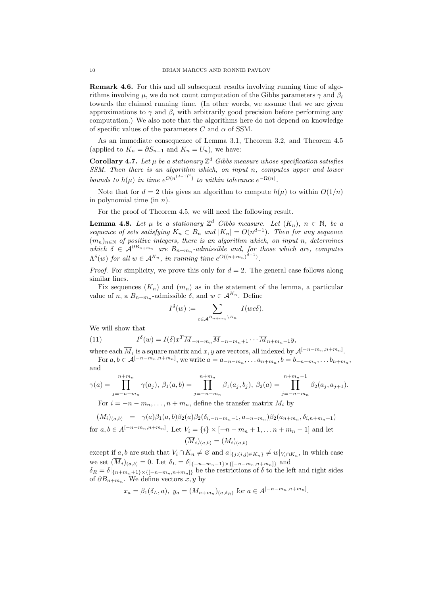**Remark 4.6.** For this and all subsequent results involving running time of algorithms involving  $\mu$ , we do not count computation of the Gibbs parameters  $\gamma$  and  $\beta_i$ towards the claimed running time. (In other words, we assume that we are given approximations to  $\gamma$  and  $\beta_i$  with arbitrarily good precision before performing any computation.) We also note that the algorithms here do not depend on knowledge of specific values of the parameters *C* and *α* of SSM.

As an immediate consequence of Lemma 3.1, Theorem 3.2, and Theorem 4.5 (applied to  $K_n = \partial S_{n-1}$  and  $K_n = U_n$ ), we have:

**Corollary 4.7.** Let  $\mu$  be a stationary  $\mathbb{Z}^d$  Gibbs measure whose specification satisfies *SSM. Then there is an algorithm which, on input n, computes upper and lower bounds to*  $h(\mu)$  *in time*  $e^{O(n^{(d-1)^2})}$  *to within tolerance*  $e^{-\Omega(n)}$ *.* 

Note that for  $d = 2$  this gives an algorithm to compute  $h(\mu)$  to within  $O(1/n)$ in polynomial time (in *n*).

For the proof of Theorem 4.5, we will need the following result.

**Lemma 4.8.** Let  $\mu$  be a stationary  $\mathbb{Z}^d$  Gibbs measure. Let  $(K_n)$ ,  $n \in \mathbb{N}$ , be a *sequence of sets satisfying*  $K_n \subset B_n$  *and*  $|K_n| = O(n^{d-1})$ *. Then for any sequence*  $(m_n)_{n\in\mathbb{N}}$  *of positive integers, there is an algorithm which, on input n, determines which*  $\delta \in A^{\partial B_{n+m_n}}$  *are*  $B_{n+m_n}$ -*admissible and, for those which are, computes*  $\Lambda^{\delta}(w)$  *for all*  $w \in A^{K_n}$ *, in running time*  $e^{O((n+m_n)^{d-1})}$ *.* 

*Proof.* For simplicity, we prove this only for  $d = 2$ . The general case follows along similar lines.

Fix sequences  $(K_n)$  and  $(m_n)$  as in the statement of the lemma, a particular value of *n*, a  $B_{n+m_n}$ -admissible  $\delta$ , and  $w \in A^{K_n}$ . Define

$$
I^{\delta}(w) := \sum_{c \in \mathcal{A}^{B_{n+m_n} \setminus K_n}} I(wc\delta).
$$

We will show that

(11) 
$$
I^{\delta}(w) = I(\delta)x^T \overline{M}_{-n-m_n} \overline{M}_{-n-m_{n+1}} \cdots \overline{M}_{n+m_{n-1}} y,
$$

where each  $\overline{M}_i$  is a square matrix and  $x, y$  are vectors, all indexed by  $\mathcal{A}^{[-n-m_n,n+m_n]}$ . For  $a, b \in A^{[-n-m_n, n+m_n]}$ , we write  $a = a_{-n-m_n}, \ldots, a_{n+m_n}, b = b_{-n-m_n}, \ldots, b_{n+m_n}$ and

$$
\gamma(a) = \prod_{j=-n-m_n}^{n+m_n} \gamma(a_j), \ \beta_1(a,b) = \prod_{j=-n-m_n}^{n+m_n} \beta_1(a_j,b_j), \ \beta_2(a) = \prod_{j=-n-m_n}^{n+m_n-1} \beta_2(a_j,a_{j+1}).
$$

For  $i = -n - m_n, \ldots, n + m_n$ , define the transfer matrix  $M_i$  by

$$
(M_i)_{(a,b)} = \gamma(a)\beta_1(a,b)\beta_2(a)\beta_2(\delta_{i,-n-m_n-1},a_{-n-m_n})\beta_2(a_{n+m_n},\delta_{i,n+m_n+1})
$$

for  $a, b \in A^{[-n-m_n, n+m_n]}$ . Let  $V_i = \{i\} \times [-n-m_n+1, \dots n+m_n-1]$  and let  $(\overline{M}_i)_{(a,b)} = (M_i)_{(a,b)}$ 

except if a, b are such that  $V_i \cap K_n \neq \emptyset$  and  $a|_{\{j:(i,j)\in K_n\}} \neq w|_{V_i \cap K_n}$ , in which case we set  $(M_i)_{(a,b)} = 0$ . Let  $\delta_L = \delta |_{\{-n-m_n-1\} \times \{[-n-m_n, n+m_n]\}}$  and  $\delta_R = \delta|_{\{n+m_n+1\} \times \{[-n-m_n, n+m_n]\}}$  be the restrictions of  $\delta$  to the left and right sides of  $\partial B_{n+m_n}$ . We define vectors  $x, y$  by

$$
x_a = \beta_1(\delta_L, a), y_a = (M_{n+m_n})_{(a, \delta_R)}
$$
 for  $a \in A^{[-n-m_n, n+m_n]}$ .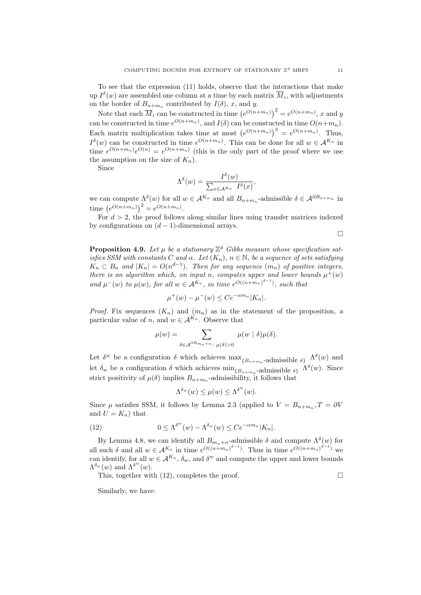To see that the expression (11) holds, observe that the interactions that make up  $I^{\delta}(w)$  are assembled one column at a time by each matrix  $\overline{M}_i$ , with adjustments on the border of  $B_{n+m_n}$  contributed by  $I(\delta)$ , *x*, and *y*.

Note that each  $\overline{M}_i$  can be constructed in time  $(e^{O(n+m_n)})^2 = e^{O(n+m_n)}$ , *x* and *y* can be constructed in time  $e^{O(n+m_n)}$ , and  $I(\delta)$  can be constucted in time  $O(n+m_n)$ . Each matrix multiplication takes time at most  $(e^{O(n+m_n)})^3 = e^{O(n+m_n)}$ . Thus,  $I^{\delta}(w)$  can be constructed in time  $e^{O(n+m_n)}$ . This can be done for all  $w \in A^{K_n}$  in time  $e^{O(n+m_n)}e^{O(n)} = e^{O(n+m_n)}$  (this is the only part of the proof where we use the assumption on the size of  $K_n$ ).

Since

$$
\Lambda^{\delta}(w) = \frac{I^{\delta}(w)}{\sum_{x \in \mathcal{A}^{K_n}} I^{\delta}(x)},
$$

we can compute  $\Lambda^{\delta}(w)$  for all  $w \in A^{K_n}$  and all  $B_{n+m_n}$ -admissible  $\delta \in A^{\partial B_{n+m_n}}$  in time  $(e^{O(n+m_n)})^2 = e^{O(n+m_n)}$ .

For  $d > 2$ , the proof follows along similar lines using transfer matrices indexed by configurations on  $(d-1)$ -dimensional arrays.

 $\Box$ 

**Proposition 4.9.** Let  $\mu$  be a stationary  $\mathbb{Z}^d$  Gibbs measure whose specification sat*isfies SSM with constants C* and  $\alpha$ . Let  $(K_n)$ ,  $n \in \mathbb{N}$ , be a sequence of sets satisfying  $K_n \subset B_n$  *and*  $|K_n| = O(n^{d-1})$ *. Then for any sequence*  $(m_n)$  *of positive integers, there is an algorithm which, on input n, computes upper and lower bounds*  $\mu^+(w)$ *and*  $\mu^{-}(w)$  *to*  $\mu(w)$ *, for all*  $w \in A^{K_n}$ *, in time*  $e^{O((n+m_n)^{d-1})}$ *, such that* 

$$
\mu^+(w) - \mu^-(w) \le Ce^{-\alpha m_n} |K_n|.
$$

*Proof.* Fix sequences  $(K_n)$  and  $(m_n)$  as in the statement of the proposition, a particular value of *n*, and  $w \in A^{K_n}$ . Observe that

$$
\mu(w) = \sum_{\delta \in \mathcal{A}^{\partial B_{m_n + n}}: \ \mu(\delta) > 0} \mu(w \mid \delta) \mu(\delta).
$$

Let  $\delta^w$  be a configuration  $\delta$  which achieves  $\max_{\{B_{n+m_n}\} }$ -admissible  $\delta\}$   $\Lambda^{\delta}(w)$  and let  $\delta_w$  be a configuration  $\delta$  which achieves  $\min_{\{B_{n+m_n}\text{-admissible } \delta\}} \Lambda^{\delta}(w)$ . Since strict positivity of  $\mu(\delta)$  implies  $B_{n+m_n}$ -admissibility, it follows that

$$
\Lambda^{\delta_w}(w) \le \mu(w) \le \Lambda^{\delta^w}(w).
$$

Since  $\mu$  satisfies SSM, it follows by Lemma 2.3 (applied to  $V = B_{n+m_n}$ ,  $T = \partial V$ and  $U = K_n$ ) that

(12) 
$$
0 \leq \Lambda^{\delta^w}(w) - \Lambda^{\delta_w}(w) \leq C e^{-\alpha m_n} |K_n|.
$$

By Lemma 4.8, we can identify all  $B_{m_n+n}$ -admissible  $\delta$  and compute  $\Lambda^{\delta}(w)$  for all such  $\delta$  and all  $w \in A^{K_n}$  in time  $e^{O((n+m_n)^{d-1})}$ . Thus in time  $e^{O((n+m_n)^{d-1})}$  we can identify, for all  $w \in A^{K_n}$ ,  $\delta_w$ , and  $\delta^w$  and compute the upper and lower bounds  $\Lambda^{\delta_w}(w)$  and  $\Lambda^{\delta^w}(w)$ .

This, together with  $(12)$ , completes the proof.

Similarly, we have: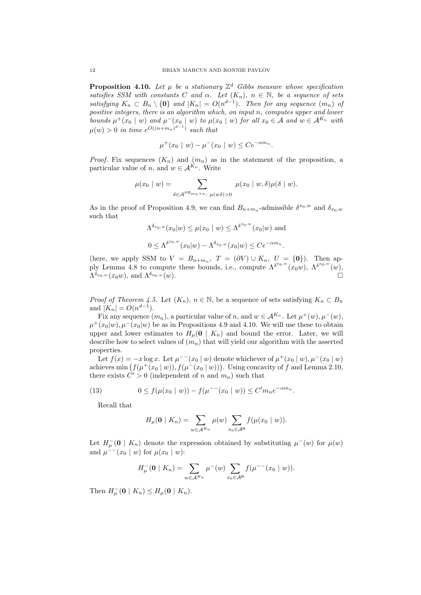**Proposition 4.10.** Let  $\mu$  be a stationary  $\mathbb{Z}^d$  Gibbs measure whose specification *satisfies SSM with constants C and*  $\alpha$ *.* Let  $(K_n)$ *,*  $n \in \mathbb{N}$ *,* be a sequence of sets satisfying  $K_n \subset B_n \setminus \{0\}$  and  $|K_n| = O(n^{d-1})$ . Then for any sequence  $(m_n)$  of *positive integers, there is an algorithm which, on input n, computes upper and lower* bounds  $\mu^+(x_0 \mid w)$  and  $\mu^-(x_0 \mid w)$  to  $\mu(x_0 \mid w)$  for all  $x_0 \in A$  and  $w \in A^{K_n}$  with  $\mu(w) > 0$  *in time*  $e^{O((n+m_n)^{d-1})}$  *such that* 

$$
\mu^+(x_0 \mid w) - \mu^-(x_0 \mid w) \leq Ce^{-\alpha m_n}.
$$

*Proof.* Fix sequences  $(K_n)$  and  $(m_n)$  as in the statement of the proposition, a particular value of *n*, and  $w \in A^{K_n}$ . Write

$$
\mu(x_0 \mid w) = \sum_{\delta \in \mathcal{A}^{\partial B_{m_n + n}}: \ \mu(w\delta) > 0} \mu(x_0 \mid w, \delta) \mu(\delta \mid w).
$$

As in the proof of Proposition 4.9, we can find  $B_{n+m_n}$ -admissible  $\delta^{x_0,w}$  and  $\delta_{x_0,w}$ such that

*δ* 

$$
\Lambda^{\delta_{x_0,w}}(x_0|w) \le \mu(x_0 \mid w) \le \Lambda^{\delta^{x_0,w}}(x_0|w) \text{ and}
$$
  

$$
0 \le \Lambda^{\delta^{x_0,w}}(x_0|w) - \Lambda^{\delta_{x_0,w}}(x_0|w) \le Ce^{-\alpha m_n}.
$$

(here, we apply SSM to  $V = B_{n+m_n}$ ,  $T = (\partial V) \cup K_n$ ,  $U = \{0\}$ ). Then apply Lemma 4.8 to compute these bounds, i.e., compute  $\Lambda^{\delta^{x_0,w}}(x_0w)$ ,  $\Lambda^{\delta^{x_0,w}}(w)$ ,  $\Lambda^{\delta_{\boldsymbol{x}_0, \boldsymbol{w}}}(\boldsymbol{x}_0\boldsymbol{w}), \text{ and } \Lambda^{\delta_{\boldsymbol{x}_0, \boldsymbol{w}}}(\boldsymbol{w}).$ 

*Proof of Theorem 4.5.* Let  $(K_n)$ ,  $n \in \mathbb{N}$ , be a sequence of sets satisfying  $K_n \subset B_n$ and  $|K_n| = O(n^{d-1}).$ 

Fix any sequence  $(m_n)$ , a particular value of *n*, and  $w \in A^{K_n}$ . Let  $\mu^+(w), \mu^-(w)$ ,  $\mu^+(x_0|w)$ ,  $\mu^-(x_0|w)$  be as in Propositions 4.9 and 4.10. We will use these to obtain upper and lower estimates to  $H_\mu(\mathbf{0} \mid K_n)$  and bound the error. Later, we will describe how to select values of  $(m_n)$  that will yield our algorithm with the asserted properties.

Let  $f(x) = -x \log x$ . Let  $\mu^{--}(x_0 \mid w)$  denote whichever of  $\mu^+(x_0 \mid w)$ ,  $\mu^-(x_0 \mid w)$ achieves min  $(f(\mu^+(x_0 \mid w)), f(\mu^-(x_0 \mid w)))$ . Using concavity of f and Lemma 2.10, there exists  $C' > 0$  (independent of *n* and  $m_n$ ) such that

(13) 
$$
0 \le f(\mu(x_0 \mid w)) - f(\mu^{--}(x_0 \mid w)) \le C'm_ne^{-\alpha m_n}.
$$

Recall that

$$
H_{\mu}(\mathbf{0} \mid K_n) = \sum_{w \in \mathcal{A}^{K_n}} \mu(w) \sum_{x_0 \in \mathcal{A}^{\mathbf{0}}} f(\mu(x_0 \mid w)).
$$

Let  $H^-_\mu(\mathbf{0} \mid K_n)$  denote the expression obtained by substituting  $\mu^-(w)$  for  $\mu(w)$ and  $\mu^{--}(x_0 \mid w)$  for  $\mu(x_0 \mid w)$ :

$$
H_{\mu}^{-}(\mathbf{0} \mid K_{n}) = \sum_{w \in \mathcal{A}^{K_{n}}} \mu^{-}(w) \sum_{x_{0} \in \mathcal{A}^{0}} f(\mu^{--}(x_{0} \mid w)).
$$

 $\text{Then } H_{\mu}^{-}(\mathbf{0} \mid K_n) \leq H_{\mu}(\mathbf{0} \mid K_n).$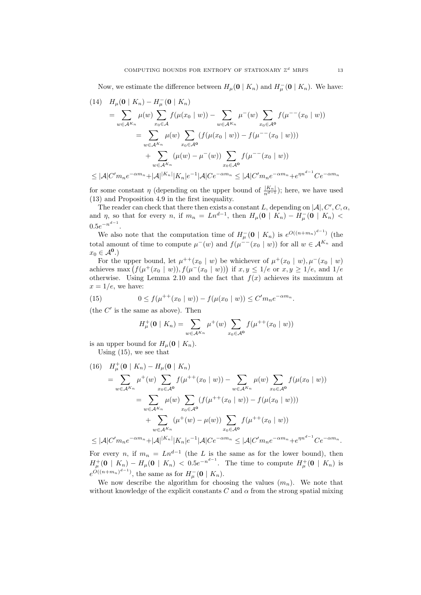Now, we estimate the difference between  $H_\mu(\mathbf{0} \mid K_n)$  and  $H_\mu^-(\mathbf{0} \mid K_n)$ . We have:

$$
(14) \quad H_{\mu}(\mathbf{0} \mid K_n) - H_{\mu}^{-}(\mathbf{0} \mid K_n)
$$
\n
$$
= \sum_{w \in \mathcal{A}^{K_n}} \mu(w) \sum_{x_0 \in \mathcal{A}} f(\mu(x_0 \mid w)) - \sum_{w \in \mathcal{A}^{K_n}} \mu^{-}(w) \sum_{x_0 \in \mathcal{A}^0} f(\mu^{-} (x_0 \mid w))
$$
\n
$$
= \sum_{w \in \mathcal{A}^{K_n}} \mu(w) \sum_{x_0 \in \mathcal{A}^0} (f(\mu(x_0 \mid w)) - f(\mu^{-} (x_0 \mid w)))
$$
\n
$$
+ \sum_{w \in \mathcal{A}^{K_n}} (\mu(w) - \mu^{-}(w)) \sum_{x_0 \in \mathcal{A}^0} f(\mu^{-} (x_0 \mid w))
$$
\n
$$
\leq |\mathcal{A}| C' m_n e^{-\alpha m_n} + |\mathcal{A}|^{|K_n|} |K_n| e^{-1} |\mathcal{A}| C e^{-\alpha m_n} \leq |\mathcal{A}| C' m_n e^{-\alpha m_n} + e^{\eta n^{d-1}} C e^{-\alpha m_n}
$$

for some constant *η* (depending on the upper bound of  $\frac{|K_n|}{n^{d-1}}$ ); here, we have used (13) and Proposition 4.9 in the first inequality.

The reader can check that there then exists a constant *L*, depending on  $|\mathcal{A}|$ ,  $C'$ ,  $C$ ,  $\alpha$ , and  $\eta$ , so that for every n, if  $m_n = Ln^{d-1}$ , then  $H_\mu(\mathbf{0} \mid K_n) - H_\mu^-(\mathbf{0} \mid K_n)$  $0.5e^{-n^{d-1}}$ .

We also note that the computation time of  $H^-_\mu(\mathbf{0} \mid K_n)$  is  $e^{O((n+m_n)^{d-1})}$  (the total amount of time to compute  $\mu^-(w)$  and  $f(\mu^{--}(x_0 \mid w))$  for all  $w \in A^{K_n}$  and  $x_0 \in \mathcal{A}^{\mathbf{0}}$ .)

For the upper bound, let  $\mu^{++}(x_0 \mid w)$  be whichever of  $\mu^+(x_0 \mid w)$ ,  $\mu^-(x_0 \mid w)$ achieves max  $(f(\mu^+(x_0 \mid w)), f(\mu^-(x_0 \mid w)))$  if  $x, y \leq 1/e$  or  $x, y \geq 1/e$ , and  $1/e$ otherwise. Using Lemma 2.10 and the fact that  $f(x)$  achieves its maximum at  $x = 1/e$ , we have:

(15) 
$$
0 \le f(\mu^{++}(x_0 \mid w)) - f(\mu(x_0 \mid w)) \le C'm_ne^{-\alpha m_n}.
$$

(the  $C'$  is the same as above). Then

$$
H^+_{\mu}(\mathbf{0} \mid K_n) = \sum_{w \in \mathcal{A}^{K_n}} \mu^+(w) \sum_{x_0 \in \mathcal{A}^0} f(\mu^{++}(x_0 \mid w))
$$

is an upper bound for  $H_\mu(\mathbf{0} \mid K_n)$ .

Using  $(15)$ , we see that

(16) 
$$
H_{\mu}^{+}(\mathbf{0} \mid K_{n}) - H_{\mu}(\mathbf{0} \mid K_{n})
$$
\n
$$
= \sum_{w \in \mathcal{A}^{K_{n}}} \mu^{+}(w) \sum_{x_{0} \in \mathcal{A}^{0}} f(\mu^{++}(x_{0} \mid w)) - \sum_{w \in \mathcal{A}^{K_{n}}} \mu(w) \sum_{x_{0} \in \mathcal{A}^{0}} f(\mu(x_{0} \mid w))
$$
\n
$$
= \sum_{w \in \mathcal{A}^{K_{n}}} \mu(w) \sum_{x_{0} \in \mathcal{A}^{0}} (f(\mu^{++}(x_{0} \mid w)) - f(\mu(x_{0} \mid w)))
$$
\n
$$
+ \sum_{w \in \mathcal{A}^{K_{n}}} (\mu^{+}(w) - \mu(w)) \sum_{x_{0} \in \mathcal{A}^{0}} f(\mu^{++}(x_{0} \mid w))
$$
\n
$$
\leq |A|G' = \sup_{x_{0} \in \mathcal{A}^{K_{n}}} |A|K_{n}||K_{n} - 1|A|G = \sup_{x_{0} \in \mathcal{A}^{0}} \leq |A|G' = \sup_{x_{0} \in \mathcal{A}^{m}} m^{d-1}G = m
$$

 $\leq |\mathcal{A}|C'm_ne^{-\alpha m_n} + |\mathcal{A}|^{|K_n|}|K_n|e^{-1}|\mathcal{A}|Ce^{-\alpha m_n} \leq |\mathcal{A}|C'm_ne^{-\alpha m_n} + e^{\eta n^{d-1}}Ce^{-\alpha m_n}.$ For every *n*, if  $m_n = Ln^{d-1}$  (the *L* is the same as for the lower bound), then

 $H^+_{\mu}(\mathbf{0} \mid K_n) - H_{\mu}(\mathbf{0} \mid K_n) < 0.5e^{-n^{d-1}}$ . The time to compute  $H^+_{\mu}(\mathbf{0} \mid K_n)$  is  $e^{O((n+m_n)^{d-1})}$ , the same as for  $H_\mu^-(\mathbf{0} \mid K_n)$ .

We now describe the algorithm for choosing the values  $(m_n)$ . We note that without knowledge of the explicit constants  $C$  and  $\alpha$  from the strong spatial mixing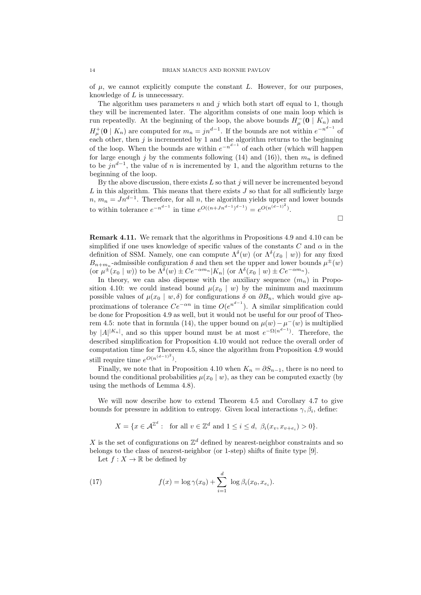of  $\mu$ , we cannot explicitly compute the constant  $L$ . However, for our purposes, knowledge of *L* is unnecessary.

The algorithm uses parameters *n* and *j* which both start off equal to 1, though they will be incremented later. The algorithm consists of one main loop which is run repeatedly. At the beginning of the loop, the above bounds  $H^-_\mu(\mathbf{0} \mid K_n)$  and  $H^{\pm}_{\mu}(\mathbf{0} \mid K_n)$  are computed for  $m_n = jn^{d-1}$ . If the bounds are not within  $e^{-n^{d-1}}$  of each other, then *j* is incremented by 1 and the algorithm returns to the beginning of the loop. When the bounds are within  $e^{-n^{d-1}}$  of each other (which will happen for large enough  $j$  by the comments following (14) and (16)), then  $m_n$  is defined to be *jn<sup>d</sup>−*<sup>1</sup> , the value of *n* is incremented by 1, and the algorithm returns to the beginning of the loop.

By the above discussion, there exists *L* so that *j* will never be incremented beyond  $L$  in this algorithm. This means that there exists  $J$  so that for all sufficiently large  $n, m_n = Jn^{d-1}$ . Therefore, for all *n*, the algorithm yields upper and lower bounds to within tolerance  $e^{-n^{d-1}}$  in time  $e^{O((n+Jn^{d-1})^{d-1})} = e^{O(n^{(d-1)^2})}$ .

 $\Box$ 

**Remark 4.11.** We remark that the algorithms in Propositions 4.9 and 4.10 can be simplified if one uses knowledge of specific values of the constants *C* and *α* in the definition of SSM. Namely, one can compute  $\Lambda^{\delta}(w)$  (or  $\Lambda^{\delta}(x_0 | w)$ ) for any fixed  $B_{n+m_n}$ -admissible configuration  $\delta$  and then set the upper and lower bounds  $\mu^{\pm}(w)$ (or  $\mu^{\pm}(x_0 \mid w)$ ) to be  $\Lambda^{\delta}(w) \pm Ce^{-\alpha m_n}|K_n|$  (or  $\Lambda^{\delta}(x_0 \mid w) \pm Ce^{-\alpha m_n})$ .

In theory, we can also dispense with the auxiliary sequence  $(m_n)$  in Proposition 4.10: we could instead bound  $\mu(x_0 | w)$  by the minimum and maximum possible values of  $\mu(x_0 \mid w, \delta)$  for configurations  $\delta$  on  $\partial B_n$ , which would give approximations of tolerance  $Ce^{-\alpha n}$  in time  $O(e^{n^{d-1}})$ . A similar simplification could be done for Proposition 4.9 as well, but it would not be useful for our proof of Theorem 4.5: note that in formula (14), the upper bound on  $\mu(w) - \mu^-(w)$  is multiplied by  $|A|^{K_n}$ , and so this upper bound must be at most  $e^{-\Omega(n^{d-1})}$ . Therefore, the described simplification for Proposition 4.10 would not reduce the overall order of computation time for Theorem 4.5, since the algorithm from Proposition 4.9 would still require time  $e^{O(n^{(d-1)^2})}$ .

Finally, we note that in Proposition 4.10 when  $K_n = \partial S_{n-1}$ , there is no need to bound the conditional probabilities  $\mu(x_0 | w)$ , as they can be computed exactly (by using the methods of Lemma 4.8).

We will now describe how to extend Theorem 4.5 and Corollary 4.7 to give bounds for pressure in addition to entropy. Given local interactions  $\gamma$ ,  $\beta_i$ , define:

$$
X = \{ x \in \mathcal{A}^{\mathbb{Z}^d} : \text{ for all } v \in \mathbb{Z}^d \text{ and } 1 \le i \le d, \ \beta_i(x_v, x_{v+e_i}) > 0 \}.
$$

X is the set of configurations on  $\mathbb{Z}^d$  defined by nearest-neighbor constraints and so belongs to the class of nearest-neighbor (or 1-step) shifts of finite type [9].

Let  $f: X \to \mathbb{R}$  be defined by

(17) 
$$
f(x) = \log \gamma(x_0) + \sum_{i=1}^d \log \beta_i(x_0, x_{e_i}).
$$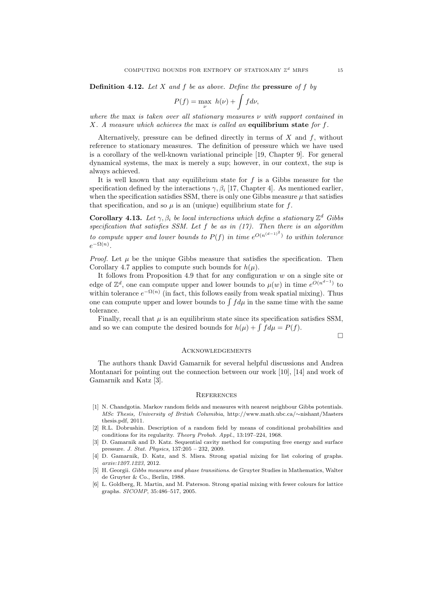**Definition 4.12.** *Let X and f be as above. Define the* **pressure** *of f by*

$$
P(f) = \max_{\nu} h(\nu) + \int f d\nu,
$$

*where the* max *is taken over all stationary measures ν with support contained in X. A measure which achieves the* max *is called an* **equilibrium state** *for f.*

Alternatively, pressure can be defined directly in terms of *X* and *f*, without reference to stationary measures. The definition of pressure which we have used is a corollary of the well-known variational principle [19, Chapter 9]. For general dynamical systems, the max is merely a sup; however, in our context, the sup is always achieved.

It is well known that any equilibrium state for *f* is a Gibbs measure for the specification defined by the interactions  $\gamma$ ,  $\beta_i$  [17, Chapter 4]. As mentioned earlier, when the specification satisfies SSM, there is only one Gibbs measure  $\mu$  that satisfies that specification, and so  $\mu$  is an (unique) equilibrium state for  $f$ .

**Corollary 4.13.** Let  $\gamma$ ,  $\beta_i$  be local interactions which define a stationary  $\mathbb{Z}^d$  Gibbs *specification that satisfies SSM. Let f be as in (17). Then there is an algorithm to compute upper and lower bounds to*  $P(f)$  *in time*  $e^{O(n^{(d-1)^2})}$  *to within tolerance*  $e^{-\Omega(n)}$ .

*Proof.* Let  $\mu$  be the unique Gibbs measure that satisfies the specification. Then Corollary 4.7 applies to compute such bounds for  $h(\mu)$ .

It follows from Proposition 4.9 that for any configuration *w* on a single site or edge of  $\mathbb{Z}^d$ , one can compute upper and lower bounds to  $\mu(w)$  in time  $e^{O(n^{d-1})}$  to within tolerance  $e^{-\Omega(n)}$  (in fact, this follows easily from weak spatial mixing). Thus one can compute upper and lower bounds to  $\int f d\mu$  in the same time with the same tolerance.

Finally, recall that  $\mu$  is an equilibrium state since its specification satisfies SSM, and so we can compute the desired bounds for  $h(\mu) + \int f d\mu = P(f)$ .

 $\Box$ 

### **ACKNOWLEDGEMENTS**

The authors thank David Gamarnik for several helpful discussions and Andrea Montanari for pointing out the connection between our work [10], [14] and work of Gamarnik and Katz [3].

#### **REFERENCES**

- [1] N. Chandgotia. Markov random fields and measures with nearest neighbour Gibbs potentials. *MSc Thesis, University of British Columibia*, http://www.math.ubc.ca/*∼*nishant/Masters thesis.pdf, 2011.
- [2] R.L. Dobrushin. Description of a random field by means of conditional probabilities and conditions for its regularity. *Theory Probab. Appl.*, 13:197–224, 1968.
- [3] D. Gamarnik and D. Katz. Sequential cavity method for computing free energy and surface pressure. *J. Stat. Physics*, 137:205 – 232, 2009.
- [4] D. Gamarnik, D. Katz, and S. Misra. Strong spatial mixing for list coloring of graphs. *arxiv:1207.1223*, 2012.
- [5] H. Georgii. *Gibbs measures and phase transitions*. de Gruyter Studies in Mathematics, Walter de Gruyter & Co., Berlin, 1988.
- [6] L. Goldberg, R. Martin, and M. Paterson. Strong spatial mixing with fewer colours for lattice graphs. *SICOMP*, 35:486–517, 2005.